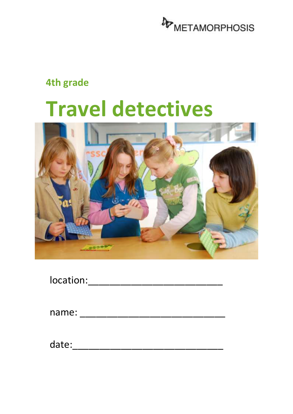

#### **4th grade**

# **Travel detectives**



| location: |  |  |  |  |
|-----------|--|--|--|--|
|           |  |  |  |  |

| name: |  |
|-------|--|
|       |  |

date: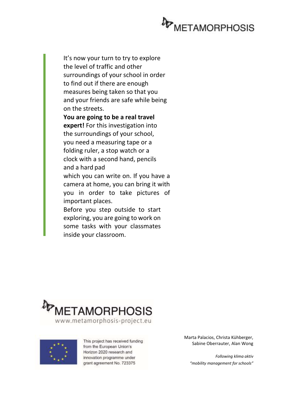

It's now your turn to try to explore the level of traffic and other surroundings of your school in order to find out if there are enough measures being taken so that you and your friends are safe while being on the streets.

**You are going to be a real travel expert!** For this investigation into the surroundings of your school, you need a measuring tape or a folding ruler, a stop watch or a clock with a second hand, pencils and a hard pad which you can write on. If you have a camera at home, you can bring it with you in order to take pictures of important places. Before you step outside to start

exploring, you are going to work on some tasks with your classmates inside your classroom.



This project has received funding from the European Union's Horizon 2020 research and innovation programme under grant agreement No. 723375

Marta Palacios, Christa Kühberger, Sabine Oberrauter, Alan Wong

*Following klima aktiv "mobility management for schools"*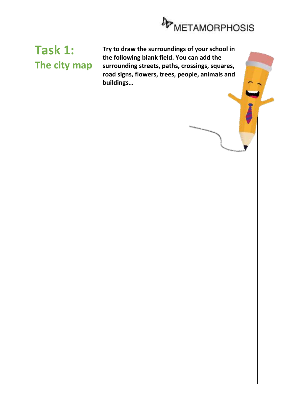

### **Task 1: The city map**

**Try to draw the surroundings of your school in the following blank field. You can add the surrounding streets, paths, crossings, squares, road signs, flowers, trees, people, animals and buildings…**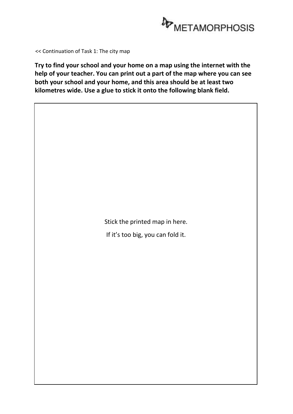

<< Continuation of Task 1: The city map

**Try to find your school and your home on a map using the internet with the help of your teacher. You can print out a part of the map where you can see both your school and your home, and this area should be at least two kilometres wide. Use a glue to stick it onto the following blank field.**

Stick the printed map in here.

If it's too big, you can fold it.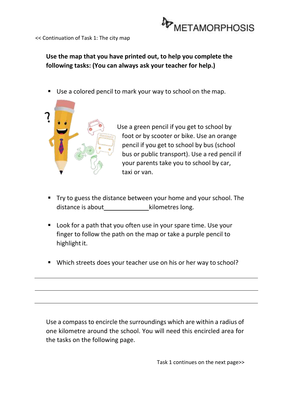

<< Continuation of Task 1: The city map

#### **Use the map that you have printed out, to help you complete the following tasks: (You can always ask your teacher for help.)**

■ Use a colored pencil to mark your way to school on the map.



Use a green pencil if you get to school by foot or by scooter or bike. Use an orange pencil if you get to school by bus (school bus or public transport). Use a red pencil if your parents take you to school by car, taxi or van.

- Try to guess the distance between your home and your school. The distance is about example in the kilometres long.
- Look for a path that you often use in your spare time. Use your finger to follow the path on the map or take a purple pencil to highlight it.
- Which streets does your teacher use on his or her way to school?

Use a compass to encircle the surroundings which are within a radius of one kilometre around the school. You will need this encircled area for the tasks on the following page.

Task 1 continues on the next page>>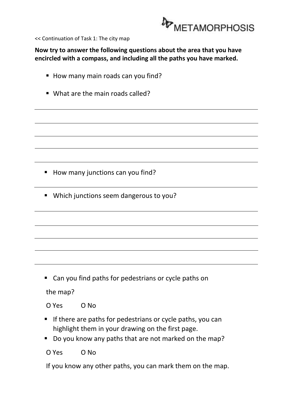

<< Continuation of Task 1: The city map

**Now try to answer the following questions about the area that you have encircled with a compass, and including all the paths you have marked.**

- How many main roads can you find?
- What are the main roads called?

- How many junctions can you find?
- Which junctions seem dangerous to you?

■ Can you find paths for pedestrians or cycle paths on

the map?

O Yes O No

- **E** If there are paths for pedestrians or cycle paths, you can highlight them in your drawing on the first page.
- Do you know any paths that are not marked on the map?

O Yes O No

If you know any other paths, you can mark them on the map.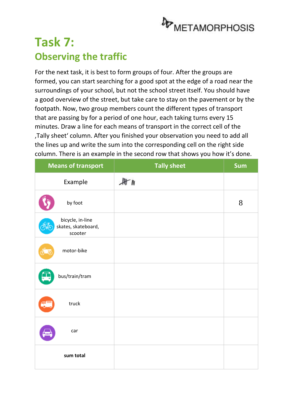

### **Task 7: Observing the traffic**

For the next task, it is best to form groups of four. After the groups are formed, you can start searching for a good spot at the edge of a road near the surroundings of your school, but not the school street itself. You should have a good overview of the street, but take care to stay on the pavement or by the footpath. Now, two group members count the different types of transport that are passing by for a period of one hour, each taking turns every 15 minutes. Draw a line for each means of transport in the correct cell of the 'Tally sheet' column. After you finished your observation you need to add all the lines up and write the sum into the corresponding cell on the right side column. There is an example in the second row that shows you how it's done.

| <b>Means of transport</b>                          | <b>Tally sheet</b> | <b>Sum</b> |
|----------------------------------------------------|--------------------|------------|
| Example                                            | A                  |            |
| by foot                                            |                    | 8          |
| bicycle, in-line<br>skates, skateboard,<br>scooter |                    |            |
| motor-bike                                         |                    |            |
| bus/train/tram                                     |                    |            |
| truck                                              |                    |            |
| car<br>hand                                        |                    |            |
| sum total                                          |                    |            |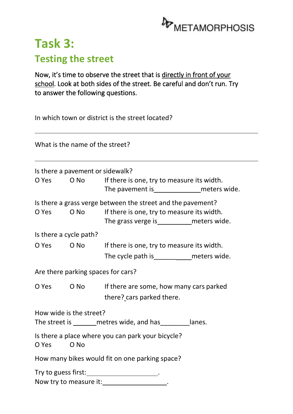

### **Task 3: Testing the street**

Now, it's time to observe the street that is directly in front of your school. Look at both sides of the street. Be careful and don't run. Try to answer the following questions.

In which town or district is the street located?

What is the name of the street?

| Is there a pavement or sidewalk?                                                          |            |                                                                                                                                                                |  |  |  |  |
|-------------------------------------------------------------------------------------------|------------|----------------------------------------------------------------------------------------------------------------------------------------------------------------|--|--|--|--|
|                                                                                           |            | O Yes O No If there is one, try to measure its width.                                                                                                          |  |  |  |  |
| O Yes                                                                                     |            | Is there a grass verge between the street and the pavement?<br>O No If there is one, try to measure its width.<br>The grass verge is_____________ meters wide. |  |  |  |  |
| Is there a cycle path?                                                                    |            |                                                                                                                                                                |  |  |  |  |
|                                                                                           |            | O Yes O No If there is one, try to measure its width.                                                                                                          |  |  |  |  |
|                                                                                           |            | The cycle path is______________meters wide.                                                                                                                    |  |  |  |  |
|                                                                                           |            | Are there parking spaces for cars?                                                                                                                             |  |  |  |  |
|                                                                                           | O Yes O No | If there are some, how many cars parked<br>there? cars parked there.                                                                                           |  |  |  |  |
| How wide is the street?<br>The street is ________ metres wide, and has _________ lanes.   |            |                                                                                                                                                                |  |  |  |  |
| Is there a place where you can park your bicycle?<br>O No<br>O Yes                        |            |                                                                                                                                                                |  |  |  |  |
| How many bikes would fit on one parking space?                                            |            |                                                                                                                                                                |  |  |  |  |
| Try to guess first: ______________________.<br>Now try to measure it: __________________. |            |                                                                                                                                                                |  |  |  |  |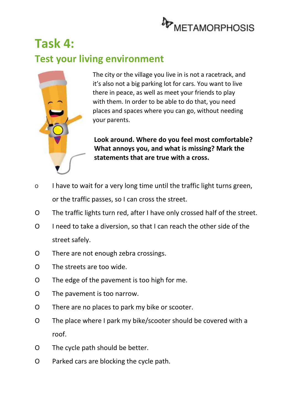

### **Task 4: Test your living environment**



The city or the village you live in is not a racetrack, and it's also not a big parking lot for cars. You want to live there in peace, as well as meet your friends to play with them. In order to be able to do that, you need places and spaces where you can go, without needing your parents.

**Look around. Where do you feel most comfortable? What annoys you, and what is missing? Mark the statements that are true with a cross.**

- O I have to wait for a very long time until the traffic light turns green, or the traffic passes, so I can cross the street.
- O The traffic lights turn red, after I have only crossed half of the street.
- O I need to take a diversion, so that I can reach the other side of the street safely.
- O There are not enough zebra crossings.
- O The streets are too wide.
- O The edge of the pavement is too high for me.
- O The pavement is too narrow.
- O There are no places to park my bike or scooter.
- O The place where I park my bike/scooter should be covered with a roof.
- O The cycle path should be better.
- O Parked cars are blocking the cycle path.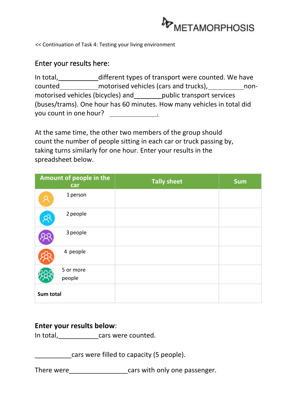

<< Continuation of Task 4: Testing your living environment

#### Enter your results here:

| In total,                         |                                       | different types of transport were counted. We have                     |      |
|-----------------------------------|---------------------------------------|------------------------------------------------------------------------|------|
| counted                           | motorised vehicles (cars and trucks), |                                                                        | non- |
| motorised vehicles (bicycles) and |                                       | public transport services                                              |      |
|                                   |                                       | (buses/trams). One hour has 60 minutes. How many vehicles in total did |      |
| you count in one hour?            |                                       |                                                                        |      |

At the same time, the other two members of the group should count the number of people sitting in each car or truck passing by, taking turns similarly for one hour. Enter your results in the spreadsheet below.

|           | Amount of people in the<br>car | <b>Tally sheet</b> | <b>Sum</b> |
|-----------|--------------------------------|--------------------|------------|
|           | 1 person                       |                    |            |
|           | 2 people                       |                    |            |
|           | 3 people                       |                    |            |
|           | 4 people                       |                    |            |
|           | 5 or more                      |                    |            |
|           | people                         |                    |            |
| Sum total |                                |                    |            |

#### **Enter your results below**:

In total, and the cars were counted.

cars were filled to capacity (5 people).

There were\_\_\_\_\_\_\_\_\_\_\_\_\_\_\_\_\_\_\_\_\_cars with only one passenger.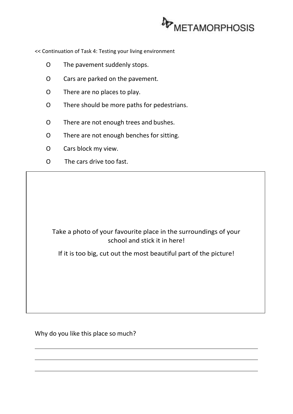

<< Continuation of Task 4: Testing your living environment

- O The pavement suddenly stops.
- O Cars are parked on the pavement.
- O There are no places to play.
- O There should be more paths for pedestrians.
- O There are not enough trees and bushes.
- O There are not enough benches for sitting.
- O Cars block my view.
- O The cars drive too fast.

#### Take a photo of your favourite place in the surroundings of your school and stick it in here!

If it is too big, cut out the most beautiful part of the picture!

Why do you like this place so much?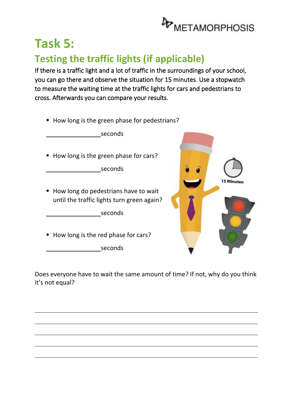

# **Task 5:**

#### **Testing the traffic lights (if applicable)**

If there is a traffic light and a lot of traffic in the surroundings of your school, you can go there and observe the situation for 15 minutes. Use a stopwatch to measure the waiting time at the traffic lights for cars and pedestrians to cross. Afterwards you can compare your results.

■ How long is the green phase for pedestrians?

seconds

■ How long is the green phase for cars?

seconds

■ How long do pedestrians have to wait until the traffic lights turn green again?

seconds

■ How long is the red phase for cars?

seconds



Does everyone have to wait the same amount of time? If not, why do you think it's not equal?

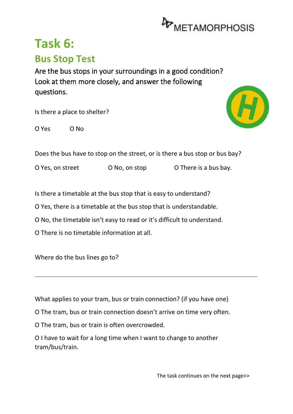

### **Task 6: Bus Stop Test**

Are the bus stops in your surroundings in a good condition? Look at them more closely, and answer the following questions.

Is there a place to shelter?

O Yes O No



Does the bus have to stop on the street, or is there a bus stop or bus bay?

O Yes, on street O No, on stop O There is a bus bay.

Is there a timetable at the bus stop that is easy to understand?

O Yes, there is a timetable at the bus stop that is understandable.

O No, the timetable isn't easy to read or it's difficult to understand.

O There is no timetable information at all.

Where do the bus lines go to?

What applies to your tram, bus or train connection? (if you have one)

O The tram, bus or train connection doesn't arrive on time very often.

O The tram, bus or train is often overcrowded.

O I have to wait for a long time when I want to change to another tram/bus/train.

The task continues on the next page>>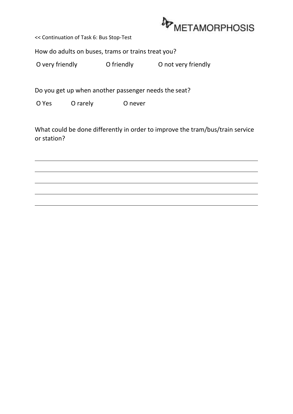

<< Continuation of Task 6: Bus Stop-Test

How do adults on buses, trams or trains treat you?

O very friendly **O** friendly **O** not very friendly

Do you get up when another passenger needs the seat?

O Yes O rarely O never

What could be done differently in order to improve the tram/bus/train service or station?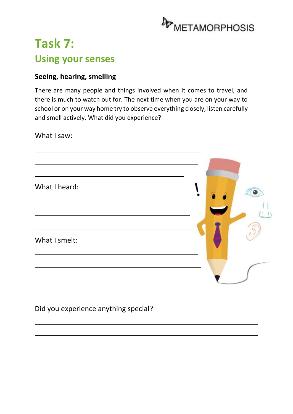

### **Task 7: Using your senses**

#### **Seeing, hearing, smelling**

There are many people and things involved when it comes to travel, and there is much to watch out for. The next time when you are on your way to school or on your way home try to observe everything closely, listen carefully and smell actively. What did you experience?

What I saw:



Did you experience anything special?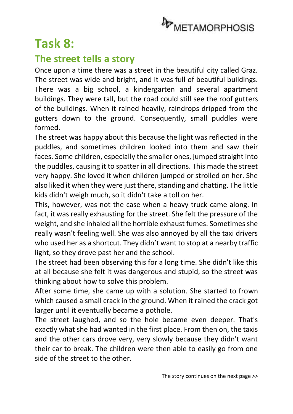

### **Task 8:**

#### **The street tells a story**

Once upon a time there was a street in the beautiful city called Graz. The street was wide and bright, and it was full of beautiful buildings. There was a big school, a kindergarten and several apartment buildings. They were tall, but the road could still see the roof gutters of the buildings. When it rained heavily, raindrops dripped from the gutters down to the ground. Consequently, small puddles were formed.

The street was happy about this because the light was reflected in the puddles, and sometimes children looked into them and saw their faces. Some children, especially the smaller ones, jumped straight into the puddles, causing it to spatter in all directions. This made the street very happy. She loved it when children jumped or strolled on her. She also liked it when they were just there, standing and chatting. The little kids didn't weigh much, so it didn't take a toll on her.

This, however, was not the case when a heavy truck came along. In fact, it was really exhausting for the street. She felt the pressure of the weight, and she inhaled all the horrible exhaust fumes. Sometimes she really wasn't feeling well. She was also annoyed by all the taxi drivers who used her as a shortcut. They didn't want to stop at a nearby traffic light, so they drove past her and the school.

The street had been observing this for a long time. She didn't like this at all because she felt it was dangerous and stupid, so the street was thinking about how to solve this problem.

After some time, she came up with a solution. She started to frown which caused a small crack in the ground. When it rained the crack got larger until it eventually became a pothole.

The street laughed, and so the hole became even deeper. That's exactly what she had wanted in the first place. From then on, the taxis and the other cars drove very, very slowly because they didn't want their car to break. The children were then able to easily go from one side of the street to the other.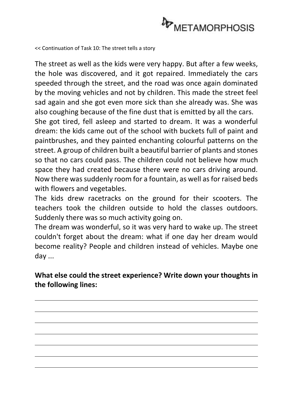

<< Continuation of Task 10: The street tells a story

The street as well as the kids were very happy. But after a few weeks, the hole was discovered, and it got repaired. Immediately the cars speeded through the street, and the road was once again dominated by the moving vehicles and not by children. This made the street feel sad again and she got even more sick than she already was. She was also coughing because of the fine dust that is emitted by all the cars.

She got tired, fell asleep and started to dream. It was a wonderful dream: the kids came out of the school with buckets full of paint and paintbrushes, and they painted enchanting colourful patterns on the street. A group of children built a beautiful barrier of plants and stones so that no cars could pass. The children could not believe how much space they had created because there were no cars driving around. Now there was suddenly room for a fountain, as well as for raised beds with flowers and vegetables.

The kids drew racetracks on the ground for their scooters. The teachers took the children outside to hold the classes outdoors. Suddenly there was so much activity going on.

The dream was wonderful, so it was very hard to wake up. The street couldn't forget about the dream: what if one day her dream would become reality? People and children instead of vehicles. Maybe one day ...

**What else could the street experience? Write down your thoughts in the following lines:**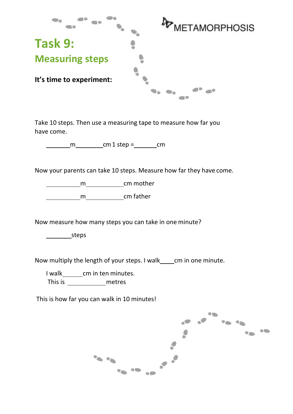

Take 10 steps. Then use a measuring tape to measure how far you have come.

m cm 1 step = cm

Now your parents can take 10 steps. Measure how far they have come.

**contract contract contract contract contract contract contract contract contract contract contract contract co** 

m cm father

Now measure how many steps you can take in one minute?

steps

Now multiply the length of your steps. I walk cm in one minute.

I walk cm in ten minutes.

This is metres

This is how far you can walk in 10 minutes!

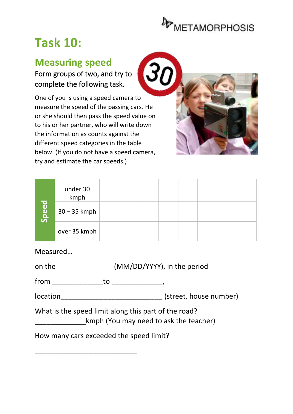

# **Task 10:**

#### **Measuring speed**

Form groups of two, and try to complete the following task.

One of you is using a speed camera to measure the speed of the passing cars. He or she should then pass the speed value on to his or her partner, who will write down the information as counts against the different speed categories in the table below. (If you do not have a speed camera, try and estimate the car speeds.)



|       | under 30<br>kmph |  |  |  |  |
|-------|------------------|--|--|--|--|
| Speed | $30 - 35$ kmph   |  |  |  |  |
|       | over 35 kmph     |  |  |  |  |

Measured…

| on the | (MM/DD/YYYY), in the period |
|--------|-----------------------------|
|--------|-----------------------------|

from \_\_\_\_\_\_\_\_\_\_\_\_\_to \_\_\_\_\_\_\_\_\_\_\_\_\_,

location\_\_\_\_\_\_\_\_\_\_\_\_\_\_\_\_\_\_\_\_\_\_\_\_\_\_ (street, house number)

What is the speed limit along this part of the road?

kmph (You may need to ask the teacher)

How many cars exceeded the speed limit?

\_\_\_\_\_\_\_\_\_\_\_\_\_\_\_\_\_\_\_\_\_\_\_\_\_\_